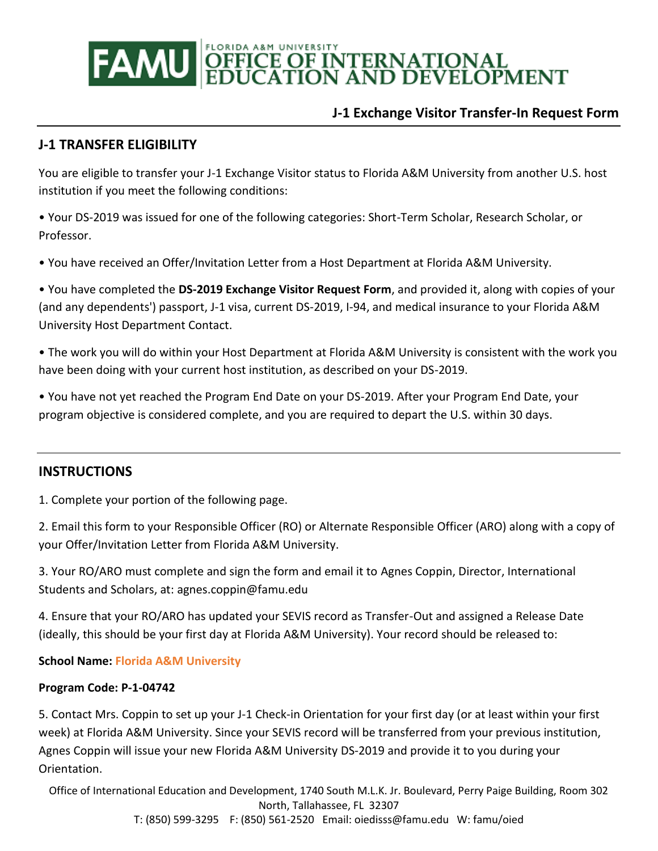# **DEFICE OF INTERNATIONAL EDUCATION AND DEVELOPMENT** FAMU

## **J-1 Exchange Visitor Transfer-In Request Form**

## **J-1 TRANSFER ELIGIBILITY**

You are eligible to transfer your J-1 Exchange Visitor status to Florida A&M University from another U.S. host institution if you meet the following conditions:

• Your DS-2019 was issued for one of the following categories: Short-Term Scholar, Research Scholar, or Professor.

• You have received an Offer/Invitation Letter from a Host Department at Florida A&M University.

• You have completed the **DS-2019 Exchange Visitor Request Form**, and provided it, along with copies of your (and any dependents') passport, J-1 visa, current DS-2019, I-94, and medical insurance to your Florida A&M University Host Department Contact.

• The work you will do within your Host Department at Florida A&M University is consistent with the work you have been doing with your current host institution, as described on your DS-2019.

• You have not yet reached the Program End Date on your DS-2019. After your Program End Date, your program objective is considered complete, and you are required to depart the U.S. within 30 days.

#### **INSTRUCTIONS**

1. Complete your portion of the following page.

2. Email this form to your Responsible Officer (RO) or Alternate Responsible Officer (ARO) along with a copy of your Offer/Invitation Letter from Florida A&M University.

3. Your RO/ARO must complete and sign the form and email it to Agnes Coppin, Director, International Students and Scholars, at: agnes.coppin@famu.edu

4. Ensure that your RO/ARO has updated your SEVIS record as Transfer-Out and assigned a Release Date (ideally, this should be your first day at Florida A&M University). Your record should be released to:

#### **School Name: Florida A&M University**

#### **Program Code: P-1-04742**

5. Contact Mrs. Coppin to set up your J-1 Check-in Orientation for your first day (or at least within your first week) at Florida A&M University. Since your SEVIS record will be transferred from your previous institution, Agnes Coppin will issue your new Florida A&M University DS-2019 and provide it to you during your Orientation.

Office of International Education and Development, 1740 South M.L.K. Jr. Boulevard, Perry Paige Building, Room 302 North, Tallahassee, FL 32307 T: (850) 599-3295 F: (850) 561-2520 Email: oiedisss@famu.edu W: famu/oied